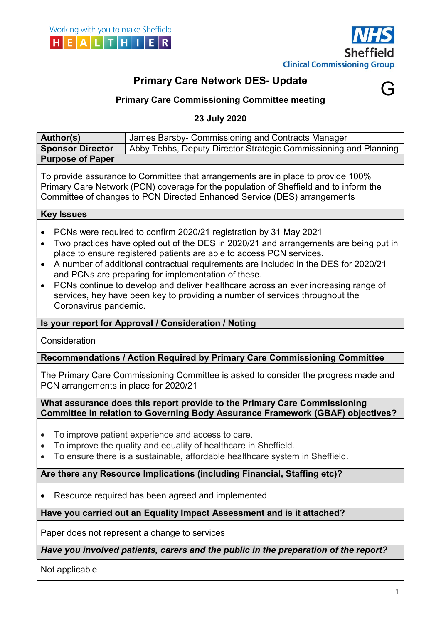

G

# Primary Care Network DES- Update



23 July 2020

| <b>Author(s)</b>                                                                                                                                                                                                                                                                                                                                                                                                                                                                                                                                                                                         | James Barsby- Commissioning and Contracts Manager                                                                                                                                                    |  |  |  |  |  |  |
|----------------------------------------------------------------------------------------------------------------------------------------------------------------------------------------------------------------------------------------------------------------------------------------------------------------------------------------------------------------------------------------------------------------------------------------------------------------------------------------------------------------------------------------------------------------------------------------------------------|------------------------------------------------------------------------------------------------------------------------------------------------------------------------------------------------------|--|--|--|--|--|--|
| <b>Sponsor Director</b>                                                                                                                                                                                                                                                                                                                                                                                                                                                                                                                                                                                  | Abby Tebbs, Deputy Director Strategic Commissioning and Planning                                                                                                                                     |  |  |  |  |  |  |
| <b>Purpose of Paper</b>                                                                                                                                                                                                                                                                                                                                                                                                                                                                                                                                                                                  |                                                                                                                                                                                                      |  |  |  |  |  |  |
| To provide assurance to Committee that arrangements are in place to provide 100%<br>Primary Care Network (PCN) coverage for the population of Sheffield and to inform the<br>Committee of changes to PCN Directed Enhanced Service (DES) arrangements                                                                                                                                                                                                                                                                                                                                                    |                                                                                                                                                                                                      |  |  |  |  |  |  |
| <b>Key Issues</b>                                                                                                                                                                                                                                                                                                                                                                                                                                                                                                                                                                                        |                                                                                                                                                                                                      |  |  |  |  |  |  |
| PCNs were required to confirm 2020/21 registration by 31 May 2021<br>Two practices have opted out of the DES in 2020/21 and arrangements are being put in<br>place to ensure registered patients are able to access PCN services.<br>A number of additional contractual requirements are included in the DES for 2020/21<br>$\bullet$<br>and PCNs are preparing for implementation of these.<br>PCNs continue to develop and deliver healthcare across an ever increasing range of<br>$\bullet$<br>services, hey have been key to providing a number of services throughout the<br>Coronavirus pandemic. |                                                                                                                                                                                                      |  |  |  |  |  |  |
| Is your report for Approval / Consideration / Noting                                                                                                                                                                                                                                                                                                                                                                                                                                                                                                                                                     |                                                                                                                                                                                                      |  |  |  |  |  |  |
| Consideration                                                                                                                                                                                                                                                                                                                                                                                                                                                                                                                                                                                            |                                                                                                                                                                                                      |  |  |  |  |  |  |
|                                                                                                                                                                                                                                                                                                                                                                                                                                                                                                                                                                                                          |                                                                                                                                                                                                      |  |  |  |  |  |  |
|                                                                                                                                                                                                                                                                                                                                                                                                                                                                                                                                                                                                          | Recommendations / Action Required by Primary Care Commissioning Committee                                                                                                                            |  |  |  |  |  |  |
| PCN arrangements in place for 2020/21                                                                                                                                                                                                                                                                                                                                                                                                                                                                                                                                                                    | The Primary Care Commissioning Committee is asked to consider the progress made and                                                                                                                  |  |  |  |  |  |  |
|                                                                                                                                                                                                                                                                                                                                                                                                                                                                                                                                                                                                          | What assurance does this report provide to the Primary Care Commissioning<br>Committee in relation to Governing Body Assurance Framework (GBAF) objectives?                                          |  |  |  |  |  |  |
| $\bullet$<br>$\bullet$<br>$\bullet$                                                                                                                                                                                                                                                                                                                                                                                                                                                                                                                                                                      | To improve patient experience and access to care.<br>To improve the quality and equality of healthcare in Sheffield.<br>To ensure there is a sustainable, affordable healthcare system in Sheffield. |  |  |  |  |  |  |
|                                                                                                                                                                                                                                                                                                                                                                                                                                                                                                                                                                                                          | Are there any Resource Implications (including Financial, Staffing etc)?                                                                                                                             |  |  |  |  |  |  |
|                                                                                                                                                                                                                                                                                                                                                                                                                                                                                                                                                                                                          | Resource required has been agreed and implemented                                                                                                                                                    |  |  |  |  |  |  |
|                                                                                                                                                                                                                                                                                                                                                                                                                                                                                                                                                                                                          | Have you carried out an Equality Impact Assessment and is it attached?                                                                                                                               |  |  |  |  |  |  |
|                                                                                                                                                                                                                                                                                                                                                                                                                                                                                                                                                                                                          | Paper does not represent a change to services                                                                                                                                                        |  |  |  |  |  |  |
|                                                                                                                                                                                                                                                                                                                                                                                                                                                                                                                                                                                                          | Have you involved patients, carers and the public in the preparation of the report?                                                                                                                  |  |  |  |  |  |  |

1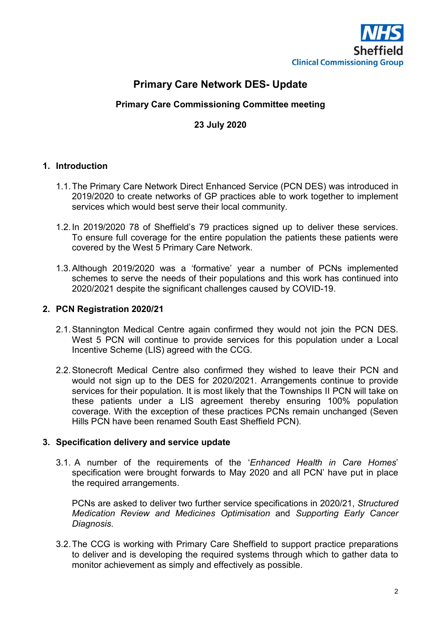

## Primary Care Network DES- Update

### Primary Care Commissioning Committee meeting

#### 23 July 2020

#### 1. Introduction

- 1.1. The Primary Care Network Direct Enhanced Service (PCN DES) was introduced in 2019/2020 to create networks of GP practices able to work together to implement services which would best serve their local community.
- 1.2. In 2019/2020 78 of Sheffield's 79 practices signed up to deliver these services. To ensure full coverage for the entire population the patients these patients were covered by the West 5 Primary Care Network.
- 1.3. Although 2019/2020 was a 'formative' year a number of PCNs implemented schemes to serve the needs of their populations and this work has continued into 2020/2021 despite the significant challenges caused by COVID-19.

#### 2. PCN Registration 2020/21

- 2.1. Stannington Medical Centre again confirmed they would not join the PCN DES. West 5 PCN will continue to provide services for this population under a Local Incentive Scheme (LIS) agreed with the CCG.
- 2.2. Stonecroft Medical Centre also confirmed they wished to leave their PCN and would not sign up to the DES for 2020/2021. Arrangements continue to provide services for their population. It is most likely that the Townships II PCN will take on these patients under a LIS agreement thereby ensuring 100% population coverage. With the exception of these practices PCNs remain unchanged (Seven Hills PCN have been renamed South East Sheffield PCN).

#### 3. Specification delivery and service update

3.1. A number of the requirements of the 'Enhanced Health in Care Homes' specification were brought forwards to May 2020 and all PCN' have put in place the required arrangements.

PCNs are asked to deliver two further service specifications in 2020/21, Structured Medication Review and Medicines Optimisation and Supporting Early Cancer Diagnosis.

3.2. The CCG is working with Primary Care Sheffield to support practice preparations to deliver and is developing the required systems through which to gather data to monitor achievement as simply and effectively as possible.